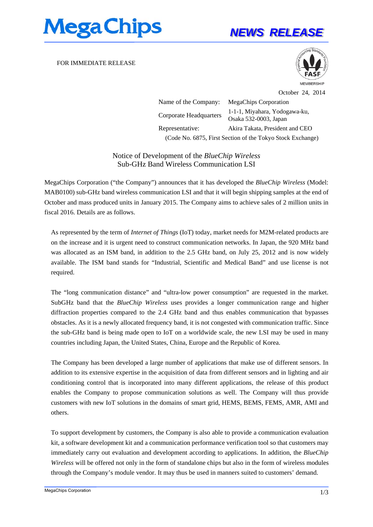

## *NEWS RELEASE*

FOR IMMEDIATE RELEASE



October 24, 2014

Name of the Company: MegaChips Corporation Corporate Headquarters 1-1-1, Miyahara, Yodogawa-ku, Osaka 532-0003, Japan Representative: Akira Takata, President and CEO (Code No. 6875, First Section of the Tokyo Stock Exchange)

Notice of Development of the *BlueChip Wireless*  Sub-GHz Band Wireless Communication LSI

MegaChips Corporation ("the Company") announces that it has developed the *BlueChip Wireless* (Model: MAB0100) sub-GHz band wireless communication LSI and that it will begin shipping samples at the end of October and mass produced units in January 2015. The Company aims to achieve sales of 2 million units in fiscal 2016. Details are as follows.

As represented by the term of *Internet of Things* (IoT) today, market needs for M2M-related products are on the increase and it is urgent need to construct communication networks. In Japan, the 920 MHz band was allocated as an ISM band, in addition to the 2.5 GHz band, on July 25, 2012 and is now widely available. The ISM band stands for "Industrial, Scientific and Medical Band" and use license is not required.

The "long communication distance" and "ultra-low power consumption" are requested in the market. SubGHz band that the *BlueChip Wireless* uses provides a longer communication range and higher diffraction properties compared to the 2.4 GHz band and thus enables communication that bypasses obstacles. As it is a newly allocated frequency band, it is not congested with communication traffic. Since the sub-GHz band is being made open to IoT on a worldwide scale, the new LSI may be used in many countries including Japan, the United States, China, Europe and the Republic of Korea.

The Company has been developed a large number of applications that make use of different sensors. In addition to its extensive expertise in the acquisition of data from different sensors and in lighting and air conditioning control that is incorporated into many different applications, the release of this product enables the Company to propose communication solutions as well. The Company will thus provide customers with new IoT solutions in the domains of smart grid, HEMS, BEMS, FEMS, AMR, AMI and others.

To support development by customers, the Company is also able to provide a communication evaluation kit, a software development kit and a communication performance verification tool so that customers may immediately carry out evaluation and development according to applications. In addition, the *BlueChip Wireless* will be offered not only in the form of standalone chips but also in the form of wireless modules through the Company's module vendor. It may thus be used in manners suited to customers' demand.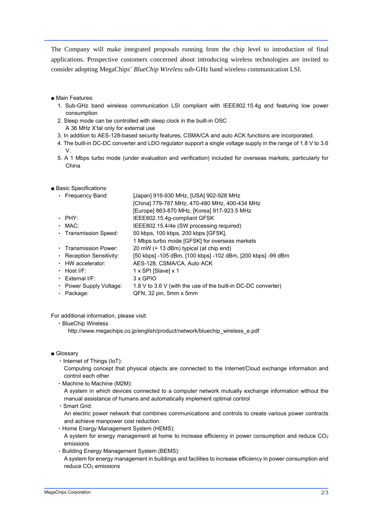The Company will make integrated proposals running from the chip level to introduction of final applications. Prospective customers concerned about introducing wireless technologies are invited to consider adopting MegaChips' *BlueChip Wireless* sub-GHz band wireless communication LSI.

- Main Features:
	- 1. Sub-GHz band wireless communication LSI compliant with IEEE802.15.4g and featuring low power consumption
	- 2. Sleep mode can be controlled with sleep clock in the built-in OSC A 36 MHz X'tal only for external use
	- 3. In addition to AES-128-based security features, CSMA/CA and auto ACK functions are incorporated.
	- 4. The built-in DC-DC converter and LDO regulator support a single voltage supply in the range of 1.8 V to 3.6 V.
	- 5. A 1 Mbps turbo mode (under evaluation and verification) included for overseas markets, particularly for China
- Basic Specifications:

| • Frequency Band:        | [Japan] 916-930 MHz, [USA] 902-928 MHz                        |
|--------------------------|---------------------------------------------------------------|
|                          | [China] 779-787 MHz, 470-480 MHz, 400-434 MHz                 |
|                          | [Europe] 863-870 MHz, [Korea] 917-923.5 MHz                   |
| $\cdot$ PHY:             | IEEE802.15.4g-compliant GFSK                                  |
| $-MAC$ :                 | IEEE802.15.4/4e (SW processing required)                      |
| • Transmission Speed:    | 50 kbps, 100 kbps, 200 kbps [GFSK],                           |
|                          | 1 Mbps turbo mode [GFSK] for overseas markets                 |
| • Transmission Power:    | 20 mW (+ 13 dBm) typical (at chip end)                        |
| • Reception Sensitivity: | [50 kbps] -105 dBm, [100 kbps] -102 dBm, [200 kbps] -99 dBm   |
| • HW accelerator:        | AES-128, CSMA/CA, Auto ACK                                    |
| $\cdot$ Host I/F:        | 1 x SPI [Slave] x 1                                           |
| $\cdot$ External I/F:    | 3 x GPIO                                                      |
| • Power Supply Voltage:  | 1.8 V to 3.6 V (with the use of the built-in DC-DC converter) |
| Package:                 | QFN, 32 pin, 5mm x 5mm                                        |
|                          |                                                               |

For additional information, please visit:

・BlueChip Wireless

http://www.megachips.co.jp/english/product/network/bluechip\_wireless\_e.pdf

- Glossarv
	- ・Internet of Things (IoT):

Computing concept that physical objects are connected to the Internet/Cloud exchange information and control each other

・Machine to Machine (M2M):

reduce CO2 emissions

A system in which devices connected to a computer network mutually exchange information without the manual assistance of humans and automatically implement optimal control

- ・Smart Grid:
- An electric power network that combines communications and controls to create various power contracts and achieve manpower cost reduction.
- ・Home Energy Management System (HEMS):
- A system for energy management at home to increase efficiency in power consumption and reduce CO2 emissions
- ・Building Energy Management System (BEMS): A system for energy management in buildings and facilities to increase efficiency in power consumption and